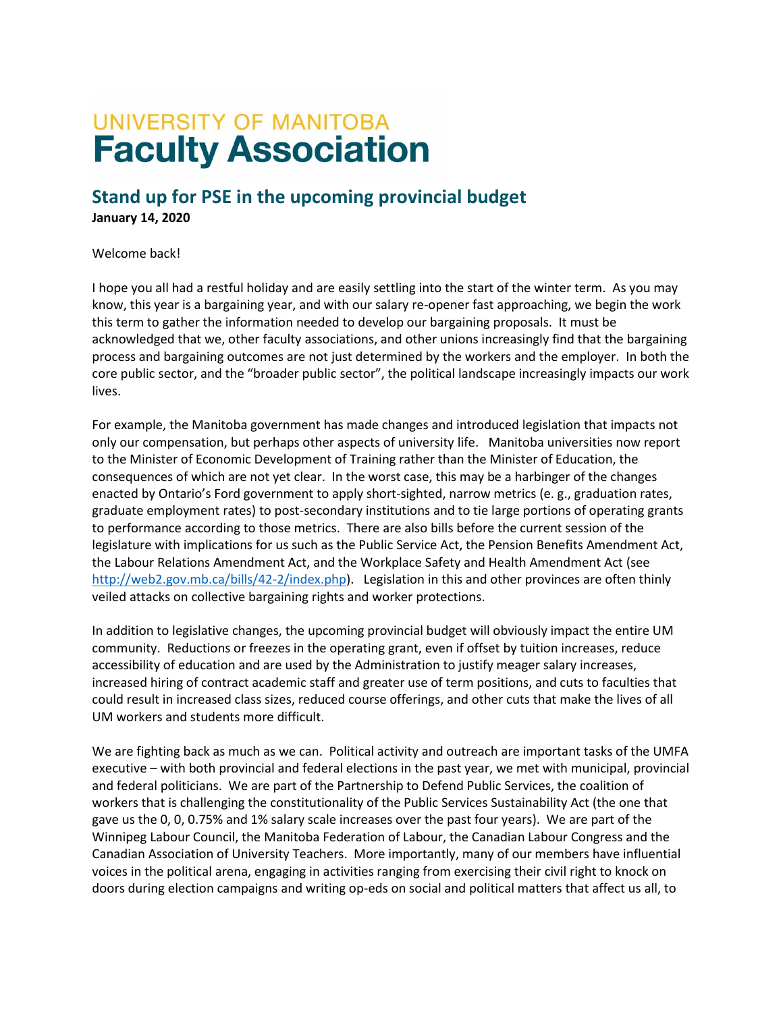## **UNIVERSITY OF MANITOBA Faculty Association**

## **Stand up for PSE in the upcoming provincial budget January 14, 2020**

## Welcome back!

I hope you all had a restful holiday and are easily settling into the start of the winter term. As you may know, this year is a bargaining year, and with our salary re-opener fast approaching, we begin the work this term to gather the information needed to develop our bargaining proposals. It must be acknowledged that we, other faculty associations, and other unions increasingly find that the bargaining process and bargaining outcomes are not just determined by the workers and the employer. In both the core public sector, and the "broader public sector", the political landscape increasingly impacts our work lives.

For example, the Manitoba government has made changes and introduced legislation that impacts not only our compensation, but perhaps other aspects of university life. Manitoba universities now report to the Minister of Economic Development of Training rather than the Minister of Education, the consequences of which are not yet clear. In the worst case, this may be a harbinger of the changes enacted by Ontario's Ford government to apply short-sighted, narrow metrics (e. g., graduation rates, graduate employment rates) to post-secondary institutions and to tie large portions of operating grants to performance according to those metrics. There are also bills before the current session of the legislature with implications for us such as the Public Service Act, the Pension Benefits Amendment Act, the Labour Relations Amendment Act, and the Workplace Safety and Health Amendment Act (see [http://web2.gov.mb.ca/bills/42-2/index.php\)](http://web2.gov.mb.ca/bills/42-2/index.php). Legislation in this and other provinces are often thinly veiled attacks on collective bargaining rights and worker protections.

In addition to legislative changes, the upcoming provincial budget will obviously impact the entire UM community. Reductions or freezes in the operating grant, even if offset by tuition increases, reduce accessibility of education and are used by the Administration to justify meager salary increases, increased hiring of contract academic staff and greater use of term positions, and cuts to faculties that could result in increased class sizes, reduced course offerings, and other cuts that make the lives of all UM workers and students more difficult.

We are fighting back as much as we can. Political activity and outreach are important tasks of the UMFA executive – with both provincial and federal elections in the past year, we met with municipal, provincial and federal politicians. We are part of the Partnership to Defend Public Services, the coalition of workers that is challenging the constitutionality of the Public Services Sustainability Act (the one that gave us the 0, 0, 0.75% and 1% salary scale increases over the past four years). We are part of the Winnipeg Labour Council, the Manitoba Federation of Labour, the Canadian Labour Congress and the Canadian Association of University Teachers. More importantly, many of our members have influential voices in the political arena, engaging in activities ranging from exercising their civil right to knock on doors during election campaigns and writing op-eds on social and political matters that affect us all, to